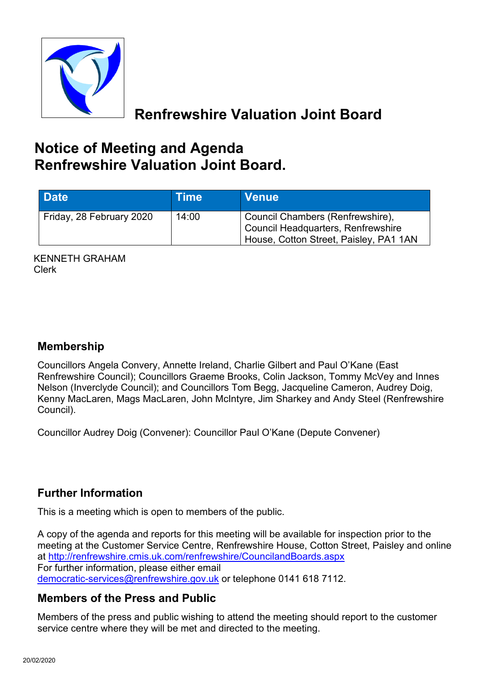

# **Renfrewshire Valuation Joint Board**

# **Notice of Meeting and Agenda Renfrewshire Valuation Joint Board.**

| <b>Date</b>              | Time  | <b>Venue</b>                                                                                                     |
|--------------------------|-------|------------------------------------------------------------------------------------------------------------------|
| Friday, 28 February 2020 | 14:00 | Council Chambers (Renfrewshire),<br>Council Headquarters, Renfrewshire<br>House, Cotton Street, Paisley, PA1 1AN |

KENNETH GRAHAM Clerk

### **Membership**

Councillors Angela Convery, Annette Ireland, Charlie Gilbert and Paul O'Kane (East Renfrewshire Council); Councillors Graeme Brooks, Colin Jackson, Tommy McVey and Innes Nelson (Inverclyde Council); and Councillors Tom Begg, Jacqueline Cameron, Audrey Doig, Kenny MacLaren, Mags MacLaren, John McIntyre, Jim Sharkey and Andy Steel (Renfrewshire Council).

Councillor Audrey Doig (Convener): Councillor Paul O'Kane (Depute Convener)

#### **Further Information**

This is a meeting which is open to members of the public.

A copy of the agenda and reports for this meeting will be available for inspection prior to the meeting at the Customer Service Centre, Renfrewshire House, Cotton Street, Paisley and online at <http://renfrewshire.cmis.uk.com/renfrewshire/CouncilandBoards.aspx> For further information, please either email [democratic-services@renfrewshire.gov.uk](mailto:democratic-services@renfrewshire.gov.uk) or telephone 0141 618 7112.

#### **Members of the Press and Public**

Members of the press and public wishing to attend the meeting should report to the customer service centre where they will be met and directed to the meeting.